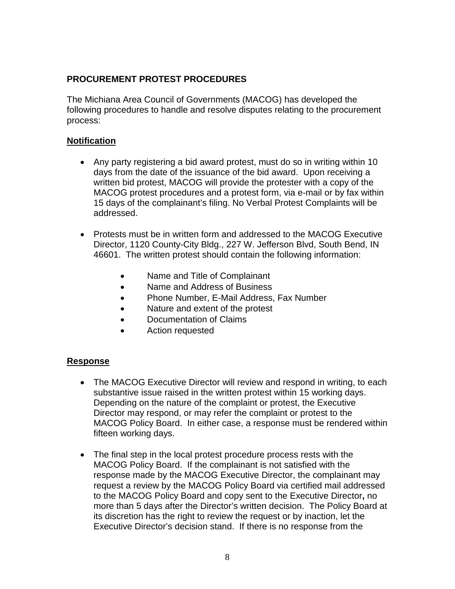## **PROCUREMENT PROTEST PROCEDURES**

The Michiana Area Council of Governments (MACOG) has developed the following procedures to handle and resolve disputes relating to the procurement process:

## **Notification**

- Any party registering a bid award protest, must do so in writing within 10 days from the date of the issuance of the bid award. Upon receiving a written bid protest, MACOG will provide the protester with a copy of the MACOG protest procedures and a protest form, via e-mail or by fax within 15 days of the complainant's filing. No Verbal Protest Complaints will be addressed.
- Protests must be in written form and addressed to the MACOG Executive Director, 1120 County-City Bldg., 227 W. Jefferson Blvd, South Bend, IN 46601. The written protest should contain the following information:
	- Name and Title of Complainant
	- Name and Address of Business
	- Phone Number, E-Mail Address, Fax Number
	- Nature and extent of the protest
	- Documentation of Claims
	- Action requested

## **Response**

- The MACOG Executive Director will review and respond in writing, to each substantive issue raised in the written protest within 15 working days. Depending on the nature of the complaint or protest, the Executive Director may respond, or may refer the complaint or protest to the MACOG Policy Board. In either case, a response must be rendered within fifteen working days.
- The final step in the local protest procedure process rests with the MACOG Policy Board. If the complainant is not satisfied with the response made by the MACOG Executive Director, the complainant may request a review by the MACOG Policy Board via certified mail addressed to the MACOG Policy Board and copy sent to the Executive Director**,** no more than 5 days after the Director's written decision. The Policy Board at its discretion has the right to review the request or by inaction, let the Executive Director's decision stand. If there is no response from the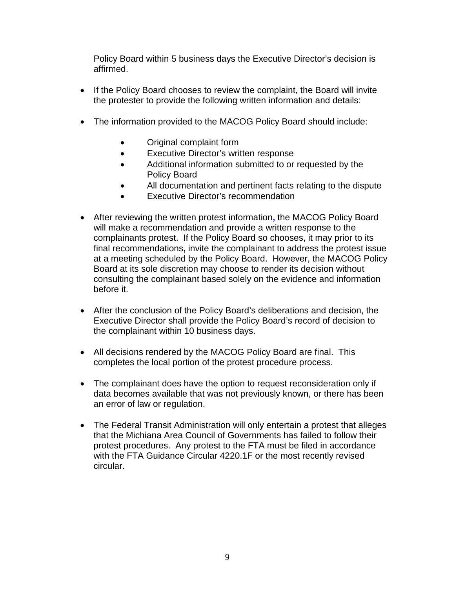Policy Board within 5 business days the Executive Director's decision is affirmed.

- If the Policy Board chooses to review the complaint, the Board will invite the protester to provide the following written information and details:
- The information provided to the MACOG Policy Board should include:
	- Original complaint form
	- Executive Director's written response
	- Additional information submitted to or requested by the Policy Board
	- All documentation and pertinent facts relating to the dispute
	- Executive Director's recommendation
- After reviewing the written protest information**,** the MACOG Policy Board will make a recommendation and provide a written response to the complainants protest. If the Policy Board so chooses, it may prior to its final recommendations**,** invite the complainant to address the protest issue at a meeting scheduled by the Policy Board. However, the MACOG Policy Board at its sole discretion may choose to render its decision without consulting the complainant based solely on the evidence and information before it.
- After the conclusion of the Policy Board's deliberations and decision, the Executive Director shall provide the Policy Board's record of decision to the complainant within 10 business days.
- All decisions rendered by the MACOG Policy Board are final. This completes the local portion of the protest procedure process.
- The complainant does have the option to request reconsideration only if data becomes available that was not previously known, or there has been an error of law or regulation.
- The Federal Transit Administration will only entertain a protest that alleges that the Michiana Area Council of Governments has failed to follow their protest procedures. Any protest to the FTA must be filed in accordance with the FTA Guidance Circular 4220.1F or the most recently revised circular.